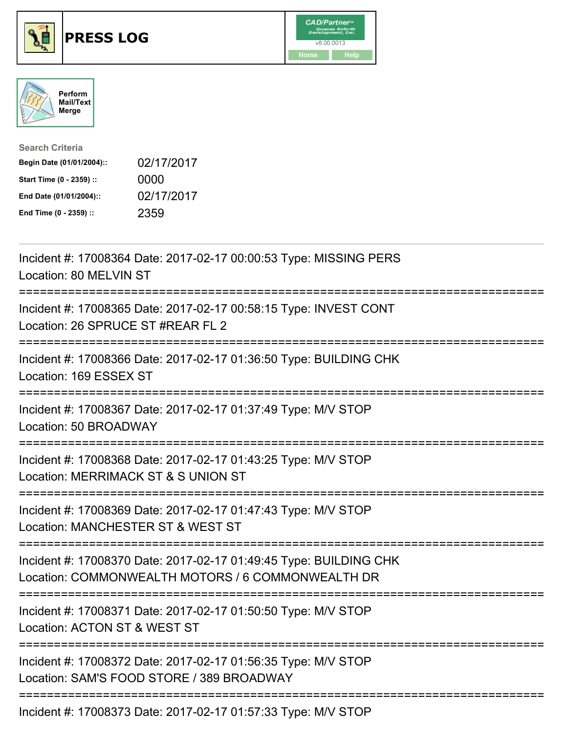





| <b>Search Criteria</b>    |            |
|---------------------------|------------|
| Begin Date (01/01/2004):: | 02/17/2017 |
| Start Time (0 - 2359) ::  | 0000       |
| End Date (01/01/2004)::   | 02/17/2017 |
| End Time (0 - 2359) ::    | 2359       |

| Incident #: 17008364 Date: 2017-02-17 00:00:53 Type: MISSING PERS<br>Location: 80 MELVIN ST                            |
|------------------------------------------------------------------------------------------------------------------------|
| Incident #: 17008365 Date: 2017-02-17 00:58:15 Type: INVEST CONT<br>Location: 26 SPRUCE ST #REAR FL 2                  |
| Incident #: 17008366 Date: 2017-02-17 01:36:50 Type: BUILDING CHK<br>Location: 169 ESSEX ST                            |
| Incident #: 17008367 Date: 2017-02-17 01:37:49 Type: M/V STOP<br>Location: 50 BROADWAY                                 |
| Incident #: 17008368 Date: 2017-02-17 01:43:25 Type: M/V STOP<br>Location: MERRIMACK ST & S UNION ST                   |
| Incident #: 17008369 Date: 2017-02-17 01:47:43 Type: M/V STOP<br>Location: MANCHESTER ST & WEST ST                     |
| Incident #: 17008370 Date: 2017-02-17 01:49:45 Type: BUILDING CHK<br>Location: COMMONWEALTH MOTORS / 6 COMMONWEALTH DR |
| Incident #: 17008371 Date: 2017-02-17 01:50:50 Type: M/V STOP<br>Location: ACTON ST & WEST ST                          |
| Incident #: 17008372 Date: 2017-02-17 01:56:35 Type: M/V STOP<br>Location: SAM'S FOOD STORE / 389 BROADWAY             |
|                                                                                                                        |

Incident #: 17008373 Date: 2017-02-17 01:57:33 Type: M/V STOP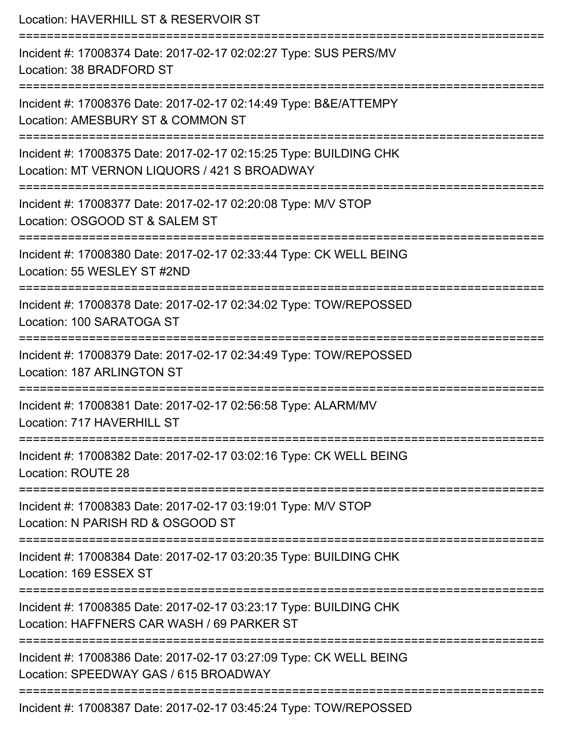| Location: HAVERHILL ST & RESERVOIR ST                                                                                                         |
|-----------------------------------------------------------------------------------------------------------------------------------------------|
| Incident #: 17008374 Date: 2017-02-17 02:02:27 Type: SUS PERS/MV<br>Location: 38 BRADFORD ST                                                  |
| Incident #: 17008376 Date: 2017-02-17 02:14:49 Type: B&E/ATTEMPY<br>Location: AMESBURY ST & COMMON ST<br>==================================== |
| Incident #: 17008375 Date: 2017-02-17 02:15:25 Type: BUILDING CHK<br>Location: MT VERNON LIQUORS / 421 S BROADWAY                             |
| Incident #: 17008377 Date: 2017-02-17 02:20:08 Type: M/V STOP<br>Location: OSGOOD ST & SALEM ST<br>===================================        |
| Incident #: 17008380 Date: 2017-02-17 02:33:44 Type: CK WELL BEING<br>Location: 55 WESLEY ST #2ND                                             |
| Incident #: 17008378 Date: 2017-02-17 02:34:02 Type: TOW/REPOSSED<br>Location: 100 SARATOGA ST                                                |
| Incident #: 17008379 Date: 2017-02-17 02:34:49 Type: TOW/REPOSSED<br>Location: 187 ARLINGTON ST                                               |
| Incident #: 17008381 Date: 2017-02-17 02:56:58 Type: ALARM/MV<br>Location: 717 HAVERHILL ST                                                   |
| Incident #: 17008382 Date: 2017-02-17 03:02:16 Type: CK WELL BEING<br>Location: ROUTE 28                                                      |
| Incident #: 17008383 Date: 2017-02-17 03:19:01 Type: M/V STOP<br>Location: N PARISH RD & OSGOOD ST                                            |
| Incident #: 17008384 Date: 2017-02-17 03:20:35 Type: BUILDING CHK<br>Location: 169 ESSEX ST                                                   |
| Incident #: 17008385 Date: 2017-02-17 03:23:17 Type: BUILDING CHK<br>Location: HAFFNERS CAR WASH / 69 PARKER ST                               |
| Incident #: 17008386 Date: 2017-02-17 03:27:09 Type: CK WELL BEING<br>Location: SPEEDWAY GAS / 615 BROADWAY                                   |
| Incident #: 17008387 Date: 2017-02-17 03:45:24 Type: TOW/REPOSSED                                                                             |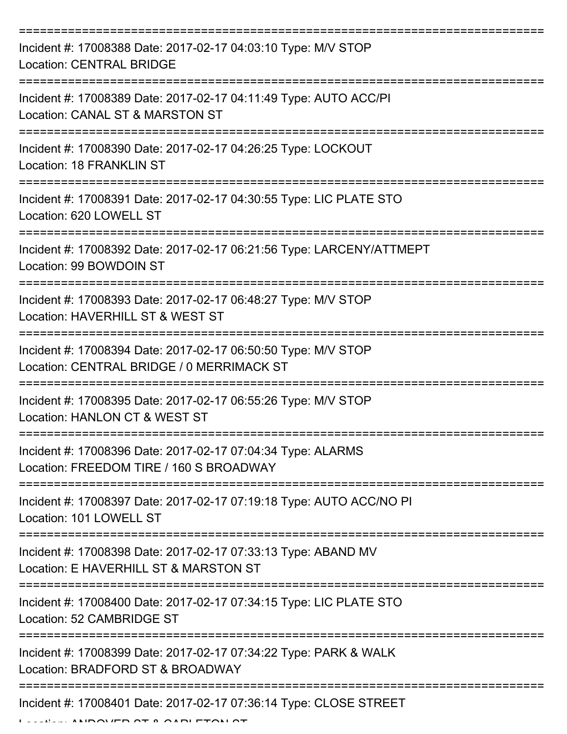| Incident #: 17008388 Date: 2017-02-17 04:03:10 Type: M/V STOP<br><b>Location: CENTRAL BRIDGE</b>           |
|------------------------------------------------------------------------------------------------------------|
| Incident #: 17008389 Date: 2017-02-17 04:11:49 Type: AUTO ACC/PI<br>Location: CANAL ST & MARSTON ST        |
| Incident #: 17008390 Date: 2017-02-17 04:26:25 Type: LOCKOUT<br>Location: 18 FRANKLIN ST                   |
| Incident #: 17008391 Date: 2017-02-17 04:30:55 Type: LIC PLATE STO<br>Location: 620 LOWELL ST              |
| Incident #: 17008392 Date: 2017-02-17 06:21:56 Type: LARCENY/ATTMEPT<br>Location: 99 BOWDOIN ST            |
| Incident #: 17008393 Date: 2017-02-17 06:48:27 Type: M/V STOP<br>Location: HAVERHILL ST & WEST ST          |
| Incident #: 17008394 Date: 2017-02-17 06:50:50 Type: M/V STOP<br>Location: CENTRAL BRIDGE / 0 MERRIMACK ST |
| Incident #: 17008395 Date: 2017-02-17 06:55:26 Type: M/V STOP<br>Location: HANLON CT & WEST ST             |
| Incident #: 17008396 Date: 2017-02-17 07:04:34 Type: ALARMS<br>Location: FREEDOM TIRE / 160 S BROADWAY     |
| Incident #: 17008397 Date: 2017-02-17 07:19:18 Type: AUTO ACC/NO PI<br>Location: 101 LOWELL ST             |
| Incident #: 17008398 Date: 2017-02-17 07:33:13 Type: ABAND MV<br>Location: E HAVERHILL ST & MARSTON ST     |
| Incident #: 17008400 Date: 2017-02-17 07:34:15 Type: LIC PLATE STO<br>Location: 52 CAMBRIDGE ST            |
| Incident #: 17008399 Date: 2017-02-17 07:34:22 Type: PARK & WALK<br>Location: BRADFORD ST & BROADWAY       |
| Incident #: 17008401 Date: 2017-02-17 07:36:14 Type: CLOSE STREET                                          |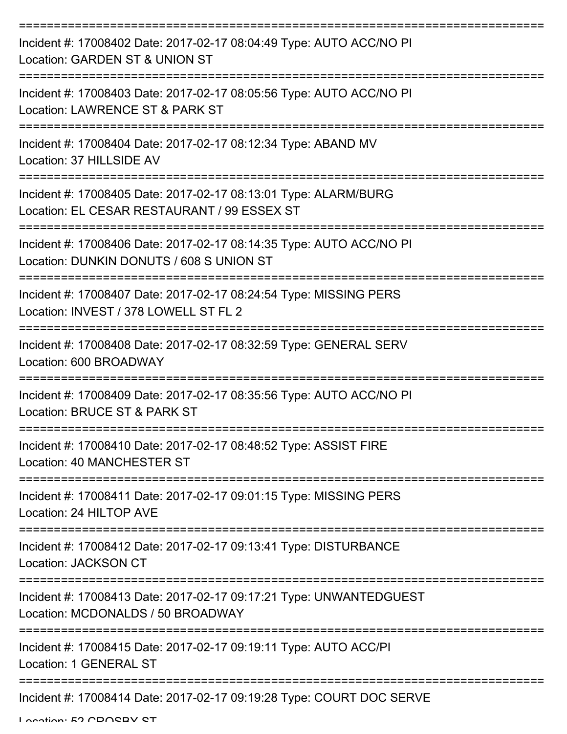| Incident #: 17008402 Date: 2017-02-17 08:04:49 Type: AUTO ACC/NO PI<br>Location: GARDEN ST & UNION ST           |
|-----------------------------------------------------------------------------------------------------------------|
| Incident #: 17008403 Date: 2017-02-17 08:05:56 Type: AUTO ACC/NO PI<br>Location: LAWRENCE ST & PARK ST          |
| Incident #: 17008404 Date: 2017-02-17 08:12:34 Type: ABAND MV<br>Location: 37 HILLSIDE AV                       |
| Incident #: 17008405 Date: 2017-02-17 08:13:01 Type: ALARM/BURG<br>Location: EL CESAR RESTAURANT / 99 ESSEX ST  |
| Incident #: 17008406 Date: 2017-02-17 08:14:35 Type: AUTO ACC/NO PI<br>Location: DUNKIN DONUTS / 608 S UNION ST |
| Incident #: 17008407 Date: 2017-02-17 08:24:54 Type: MISSING PERS<br>Location: INVEST / 378 LOWELL ST FL 2      |
| Incident #: 17008408 Date: 2017-02-17 08:32:59 Type: GENERAL SERV<br>Location: 600 BROADWAY                     |
| Incident #: 17008409 Date: 2017-02-17 08:35:56 Type: AUTO ACC/NO PI<br>Location: BRUCE ST & PARK ST             |
| Incident #: 17008410 Date: 2017-02-17 08:48:52 Type: ASSIST FIRE<br>Location: 40 MANCHESTER ST                  |
| Incident #: 17008411 Date: 2017-02-17 09:01:15 Type: MISSING PERS<br>Location: 24 HILTOP AVE                    |
| Incident #: 17008412 Date: 2017-02-17 09:13:41 Type: DISTURBANCE<br>Location: JACKSON CT                        |
| Incident #: 17008413 Date: 2017-02-17 09:17:21 Type: UNWANTEDGUEST<br>Location: MCDONALDS / 50 BROADWAY         |
| Incident #: 17008415 Date: 2017-02-17 09:19:11 Type: AUTO ACC/PI<br>Location: 1 GENERAL ST                      |
| Incident #: 17008414 Date: 2017-02-17 09:19:28 Type: COURT DOC SERVE                                            |

Location: E2 CDOCBV CT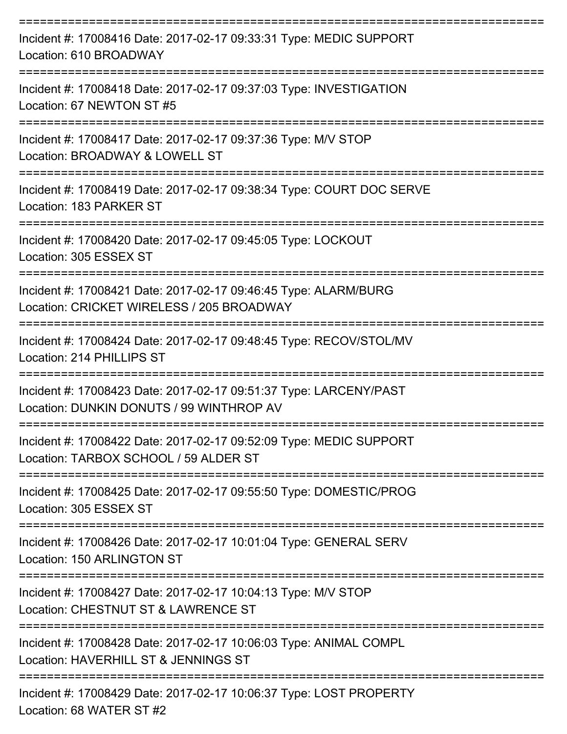| Incident #: 17008416 Date: 2017-02-17 09:33:31 Type: MEDIC SUPPORT<br>Location: 610 BROADWAY                   |
|----------------------------------------------------------------------------------------------------------------|
| Incident #: 17008418 Date: 2017-02-17 09:37:03 Type: INVESTIGATION<br>Location: 67 NEWTON ST #5                |
| Incident #: 17008417 Date: 2017-02-17 09:37:36 Type: M/V STOP<br>Location: BROADWAY & LOWELL ST                |
| Incident #: 17008419 Date: 2017-02-17 09:38:34 Type: COURT DOC SERVE<br>Location: 183 PARKER ST                |
| Incident #: 17008420 Date: 2017-02-17 09:45:05 Type: LOCKOUT<br>Location: 305 ESSEX ST<br>-------------------- |
| Incident #: 17008421 Date: 2017-02-17 09:46:45 Type: ALARM/BURG<br>Location: CRICKET WIRELESS / 205 BROADWAY   |
| Incident #: 17008424 Date: 2017-02-17 09:48:45 Type: RECOV/STOL/MV<br>Location: 214 PHILLIPS ST                |
| Incident #: 17008423 Date: 2017-02-17 09:51:37 Type: LARCENY/PAST<br>Location: DUNKIN DONUTS / 99 WINTHROP AV  |
| Incident #: 17008422 Date: 2017-02-17 09:52:09 Type: MEDIC SUPPORT<br>Location: TARBOX SCHOOL / 59 ALDER ST    |
| Incident #: 17008425 Date: 2017-02-17 09:55:50 Type: DOMESTIC/PROG<br>Location: 305 ESSEX ST                   |
| Incident #: 17008426 Date: 2017-02-17 10:01:04 Type: GENERAL SERV<br>Location: 150 ARLINGTON ST                |
| Incident #: 17008427 Date: 2017-02-17 10:04:13 Type: M/V STOP<br>Location: CHESTNUT ST & LAWRENCE ST           |
| Incident #: 17008428 Date: 2017-02-17 10:06:03 Type: ANIMAL COMPL<br>Location: HAVERHILL ST & JENNINGS ST      |
| Incident #: 17008429 Date: 2017-02-17 10:06:37 Type: LOST PROPERTY<br>Location: 68 WATER ST #2                 |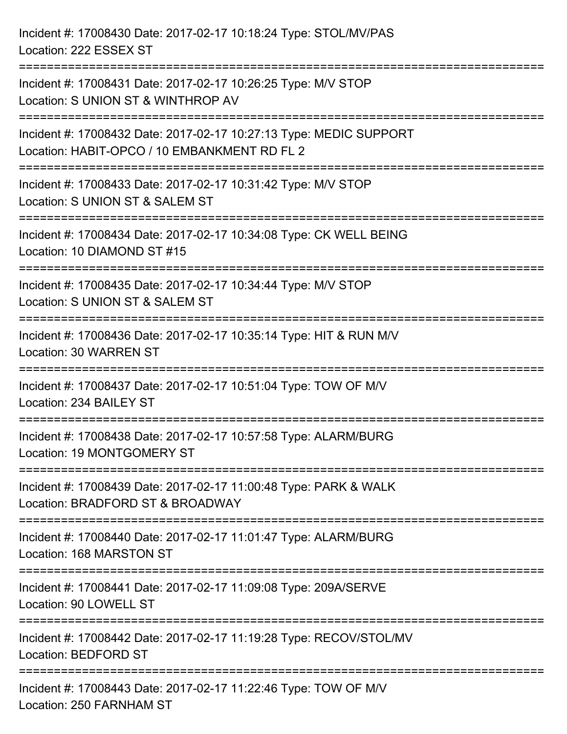Incident #: 17008430 Date: 2017-02-17 10:18:24 Type: STOL/MV/PAS Location: 222 ESSEX ST =========================================================================== Incident #: 17008431 Date: 2017-02-17 10:26:25 Type: M/V STOP Location: S UNION ST & WINTHROP AV =========================================================================== Incident #: 17008432 Date: 2017-02-17 10:27:13 Type: MEDIC SUPPORT Location: HABIT-OPCO / 10 EMBANKMENT RD FL 2 =========================================================================== Incident #: 17008433 Date: 2017-02-17 10:31:42 Type: M/V STOP Location: S UNION ST & SALEM ST =========================================================================== Incident #: 17008434 Date: 2017-02-17 10:34:08 Type: CK WELL BEING Location: 10 DIAMOND ST #15 =========================================================================== Incident #: 17008435 Date: 2017-02-17 10:34:44 Type: M/V STOP Location: S UNION ST & SALEM ST =========================================================================== Incident #: 17008436 Date: 2017-02-17 10:35:14 Type: HIT & RUN M/V Location: 30 WARREN ST =========================================================================== Incident #: 17008437 Date: 2017-02-17 10:51:04 Type: TOW OF M/V Location: 234 BAILEY ST =========================================================================== Incident #: 17008438 Date: 2017-02-17 10:57:58 Type: ALARM/BURG Location: 19 MONTGOMERY ST =========================================================================== Incident #: 17008439 Date: 2017-02-17 11:00:48 Type: PARK & WALK Location: BRADFORD ST & BROADWAY =========================================================================== Incident #: 17008440 Date: 2017-02-17 11:01:47 Type: ALARM/BURG Location: 168 MARSTON ST =========================================================================== Incident #: 17008441 Date: 2017-02-17 11:09:08 Type: 209A/SERVE Location: 90 LOWELL ST =========================================================================== Incident #: 17008442 Date: 2017-02-17 11:19:28 Type: RECOV/STOL/MV Location: BEDFORD ST =========================================================================== Incident #: 17008443 Date: 2017-02-17 11:22:46 Type: TOW OF M/V Location: 250 FARNHAM ST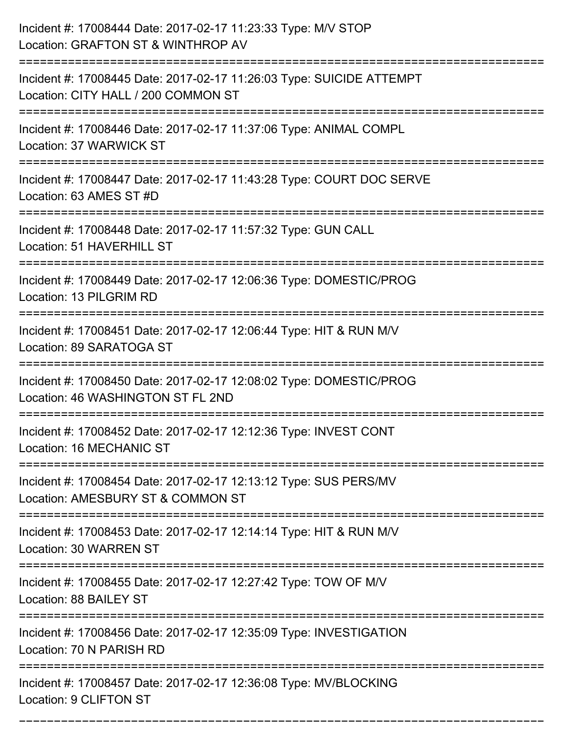| Incident #: 17008444 Date: 2017-02-17 11:23:33 Type: M/V STOP<br>Location: GRAFTON ST & WINTHROP AV                                      |
|------------------------------------------------------------------------------------------------------------------------------------------|
| :========================<br>Incident #: 17008445 Date: 2017-02-17 11:26:03 Type: SUICIDE ATTEMPT<br>Location: CITY HALL / 200 COMMON ST |
| Incident #: 17008446 Date: 2017-02-17 11:37:06 Type: ANIMAL COMPL<br>Location: 37 WARWICK ST                                             |
| Incident #: 17008447 Date: 2017-02-17 11:43:28 Type: COURT DOC SERVE<br>Location: 63 AMES ST #D                                          |
| Incident #: 17008448 Date: 2017-02-17 11:57:32 Type: GUN CALL<br>Location: 51 HAVERHILL ST                                               |
| Incident #: 17008449 Date: 2017-02-17 12:06:36 Type: DOMESTIC/PROG<br>Location: 13 PILGRIM RD                                            |
| Incident #: 17008451 Date: 2017-02-17 12:06:44 Type: HIT & RUN M/V<br>Location: 89 SARATOGA ST<br>===================================    |
| Incident #: 17008450 Date: 2017-02-17 12:08:02 Type: DOMESTIC/PROG<br>Location: 46 WASHINGTON ST FL 2ND                                  |
| Incident #: 17008452 Date: 2017-02-17 12:12:36 Type: INVEST CONT<br>Location: 16 MECHANIC ST                                             |
| =================<br>Incident #: 17008454 Date: 2017-02-17 12:13:12 Type: SUS PERS/MV<br>Location: AMESBURY ST & COMMON ST               |
| Incident #: 17008453 Date: 2017-02-17 12:14:14 Type: HIT & RUN M/V<br>Location: 30 WARREN ST                                             |
| Incident #: 17008455 Date: 2017-02-17 12:27:42 Type: TOW OF M/V<br>Location: 88 BAILEY ST                                                |
| Incident #: 17008456 Date: 2017-02-17 12:35:09 Type: INVESTIGATION<br>Location: 70 N PARISH RD                                           |
| Incident #: 17008457 Date: 2017-02-17 12:36:08 Type: MV/BLOCKING<br>Location: 9 CLIFTON ST                                               |

===========================================================================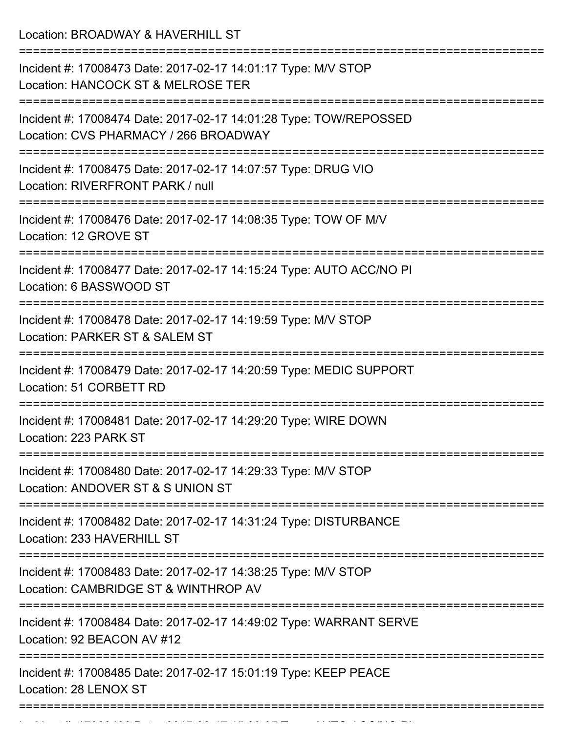Location: BROADWAY & HAVERHILL ST

| Incident #: 17008473 Date: 2017-02-17 14:01:17 Type: M/V STOP<br>Location: HANCOCK ST & MELROSE TER                  |
|----------------------------------------------------------------------------------------------------------------------|
| Incident #: 17008474 Date: 2017-02-17 14:01:28 Type: TOW/REPOSSED<br>Location: CVS PHARMACY / 266 BROADWAY           |
| Incident #: 17008475 Date: 2017-02-17 14:07:57 Type: DRUG VIO<br>Location: RIVERFRONT PARK / null                    |
| Incident #: 17008476 Date: 2017-02-17 14:08:35 Type: TOW OF M/V<br>Location: 12 GROVE ST                             |
| Incident #: 17008477 Date: 2017-02-17 14:15:24 Type: AUTO ACC/NO PI<br>Location: 6 BASSWOOD ST                       |
| Incident #: 17008478 Date: 2017-02-17 14:19:59 Type: M/V STOP<br>Location: PARKER ST & SALEM ST                      |
| Incident #: 17008479 Date: 2017-02-17 14:20:59 Type: MEDIC SUPPORT<br>Location: 51 CORBETT RD                        |
| Incident #: 17008481 Date: 2017-02-17 14:29:20 Type: WIRE DOWN<br>Location: 223 PARK ST                              |
| ==============<br>Incident #: 17008480 Date: 2017-02-17 14:29:33 Type: M/V STOP<br>Location: ANDOVER ST & S UNION ST |
| Incident #: 17008482 Date: 2017-02-17 14:31:24 Type: DISTURBANCE<br>Location: 233 HAVERHILL ST                       |
| Incident #: 17008483 Date: 2017-02-17 14:38:25 Type: M/V STOP<br>Location: CAMBRIDGE ST & WINTHROP AV                |
| Incident #: 17008484 Date: 2017-02-17 14:49:02 Type: WARRANT SERVE<br>Location: 92 BEACON AV #12                     |
| Incident #: 17008485 Date: 2017-02-17 15:01:19 Type: KEEP PEACE<br>Location: 28 LENOX ST                             |
|                                                                                                                      |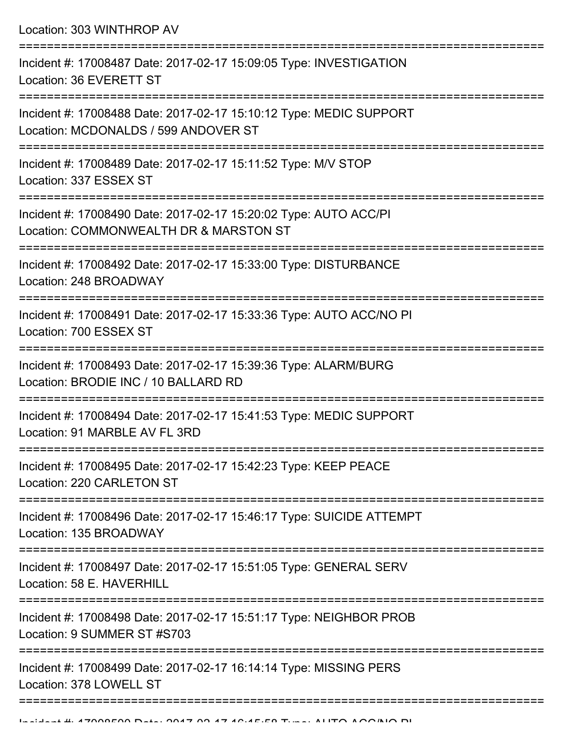| Location: 303 WINTHROP AV                                                                                                                                    |
|--------------------------------------------------------------------------------------------------------------------------------------------------------------|
| Incident #: 17008487 Date: 2017-02-17 15:09:05 Type: INVESTIGATION<br>Location: 36 EVERETT ST                                                                |
| Incident #: 17008488 Date: 2017-02-17 15:10:12 Type: MEDIC SUPPORT<br>Location: MCDONALDS / 599 ANDOVER ST                                                   |
| Incident #: 17008489 Date: 2017-02-17 15:11:52 Type: M/V STOP<br>Location: 337 ESSEX ST<br>========================<br>===================================== |
| Incident #: 17008490 Date: 2017-02-17 15:20:02 Type: AUTO ACC/PI<br>Location: COMMONWEALTH DR & MARSTON ST<br>============================                   |
| Incident #: 17008492 Date: 2017-02-17 15:33:00 Type: DISTURBANCE<br>Location: 248 BROADWAY<br>================================                               |
| Incident #: 17008491 Date: 2017-02-17 15:33:36 Type: AUTO ACC/NO PI<br>Location: 700 ESSEX ST                                                                |
| Incident #: 17008493 Date: 2017-02-17 15:39:36 Type: ALARM/BURG<br>Location: BRODIE INC / 10 BALLARD RD                                                      |
| Incident #: 17008494 Date: 2017-02-17 15:41:53 Type: MEDIC SUPPORT<br>Location: 91 MARBLE AV FL 3RD                                                          |
| Incident #: 17008495 Date: 2017-02-17 15:42:23 Type: KEEP PEACE<br>Location: 220 CARLETON ST                                                                 |
| Incident #: 17008496 Date: 2017-02-17 15:46:17 Type: SUICIDE ATTEMPT<br>Location: 135 BROADWAY                                                               |
| Incident #: 17008497 Date: 2017-02-17 15:51:05 Type: GENERAL SERV<br>Location: 58 E. HAVERHILL                                                               |
| Incident #: 17008498 Date: 2017-02-17 15:51:17 Type: NEIGHBOR PROB<br>Location: 9 SUMMER ST #S703                                                            |
| Incident #: 17008499 Date: 2017-02-17 16:14:14 Type: MISSING PERS<br>Location: 378 LOWELL ST                                                                 |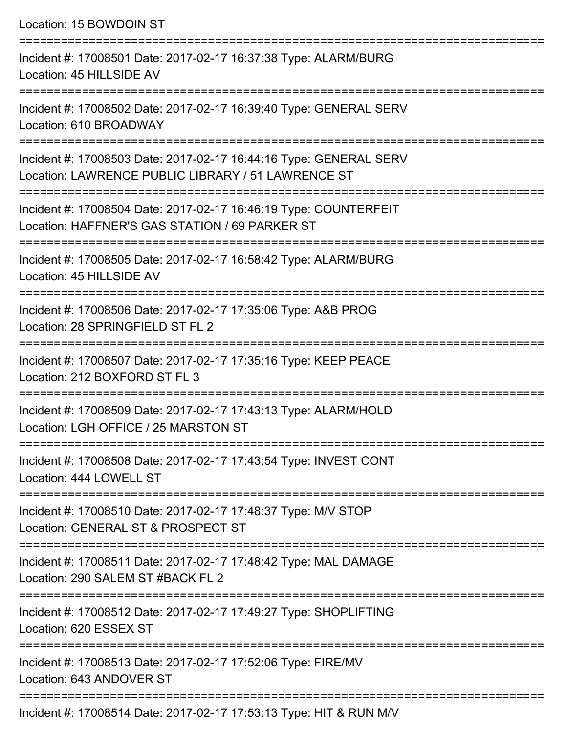Location: 15 BOWDOIN ST =========================================================================== Incident #: 17008501 Date: 2017-02-17 16:37:38 Type: ALARM/BURG Location: 45 HILLSIDE AV =========================================================================== Incident #: 17008502 Date: 2017-02-17 16:39:40 Type: GENERAL SERV Location: 610 BROADWAY =========================================================================== Incident #: 17008503 Date: 2017-02-17 16:44:16 Type: GENERAL SERV Location: LAWRENCE PUBLIC LIBRARY / 51 LAWRENCE ST =========================================================================== Incident #: 17008504 Date: 2017-02-17 16:46:19 Type: COUNTERFEIT Location: HAFFNER'S GAS STATION / 69 PARKER ST =========================================================================== Incident #: 17008505 Date: 2017-02-17 16:58:42 Type: ALARM/BURG Location: 45 HILLSIDE AV =========================================================================== Incident #: 17008506 Date: 2017-02-17 17:35:06 Type: A&B PROG Location: 28 SPRINGFIELD ST FL 2 =========================================================================== Incident #: 17008507 Date: 2017-02-17 17:35:16 Type: KEEP PEACE Location: 212 BOXFORD ST FL 3 =========================================================================== Incident #: 17008509 Date: 2017-02-17 17:43:13 Type: ALARM/HOLD Location: LGH OFFICE / 25 MARSTON ST =========================================================================== Incident #: 17008508 Date: 2017-02-17 17:43:54 Type: INVEST CONT Location: 444 LOWELL ST =========================================================================== Incident #: 17008510 Date: 2017-02-17 17:48:37 Type: M/V STOP Location: GENERAL ST & PROSPECT ST =========================================================================== Incident #: 17008511 Date: 2017-02-17 17:48:42 Type: MAL DAMAGE Location: 290 SALEM ST #BACK FL 2 =========================================================================== Incident #: 17008512 Date: 2017-02-17 17:49:27 Type: SHOPLIFTING Location: 620 ESSEX ST =========================================================================== Incident #: 17008513 Date: 2017-02-17 17:52:06 Type: FIRE/MV Location: 643 ANDOVER ST ===========================================================================

Incident #: 17008514 Date: 2017-02-17 17:53:13 Type: HIT & RUN M/V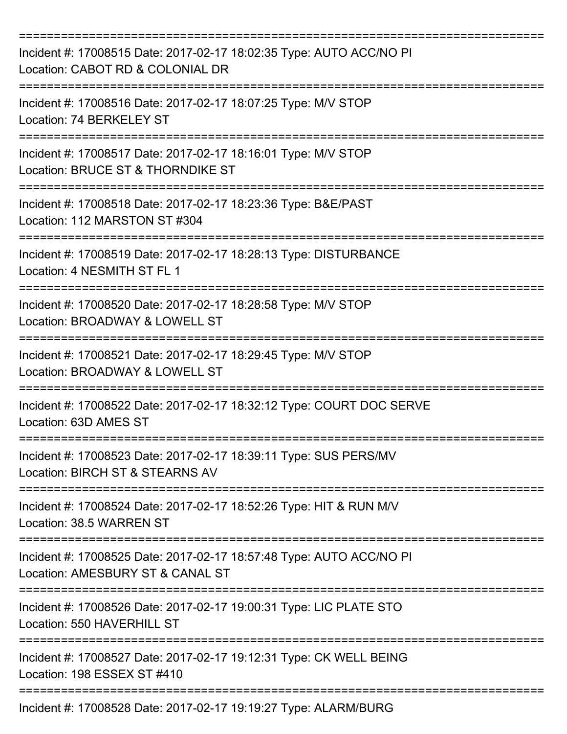| Incident #: 17008515 Date: 2017-02-17 18:02:35 Type: AUTO ACC/NO PI<br>Location: CABOT RD & COLONIAL DR |
|---------------------------------------------------------------------------------------------------------|
| Incident #: 17008516 Date: 2017-02-17 18:07:25 Type: M/V STOP<br>Location: 74 BERKELEY ST               |
| Incident #: 17008517 Date: 2017-02-17 18:16:01 Type: M/V STOP<br>Location: BRUCE ST & THORNDIKE ST      |
| Incident #: 17008518 Date: 2017-02-17 18:23:36 Type: B&E/PAST<br>Location: 112 MARSTON ST #304          |
| Incident #: 17008519 Date: 2017-02-17 18:28:13 Type: DISTURBANCE<br>Location: 4 NESMITH ST FL 1         |
| Incident #: 17008520 Date: 2017-02-17 18:28:58 Type: M/V STOP<br>Location: BROADWAY & LOWELL ST         |
| Incident #: 17008521 Date: 2017-02-17 18:29:45 Type: M/V STOP<br>Location: BROADWAY & LOWELL ST         |
| Incident #: 17008522 Date: 2017-02-17 18:32:12 Type: COURT DOC SERVE<br>Location: 63D AMES ST           |
| Incident #: 17008523 Date: 2017-02-17 18:39:11 Type: SUS PERS/MV<br>Location: BIRCH ST & STEARNS AV     |
| Incident #: 17008524 Date: 2017-02-17 18:52:26 Type: HIT & RUN M/V<br>Location: 38.5 WARREN ST          |
| Incident #: 17008525 Date: 2017-02-17 18:57:48 Type: AUTO ACC/NO PI<br>Location: AMESBURY ST & CANAL ST |
| Incident #: 17008526 Date: 2017-02-17 19:00:31 Type: LIC PLATE STO<br>Location: 550 HAVERHILL ST        |
| Incident #: 17008527 Date: 2017-02-17 19:12:31 Type: CK WELL BEING<br>Location: 198 ESSEX ST #410       |
| Incident #: 17008528 Date: 2017-02-17 19:19:27 Type: ALARM/BURG                                         |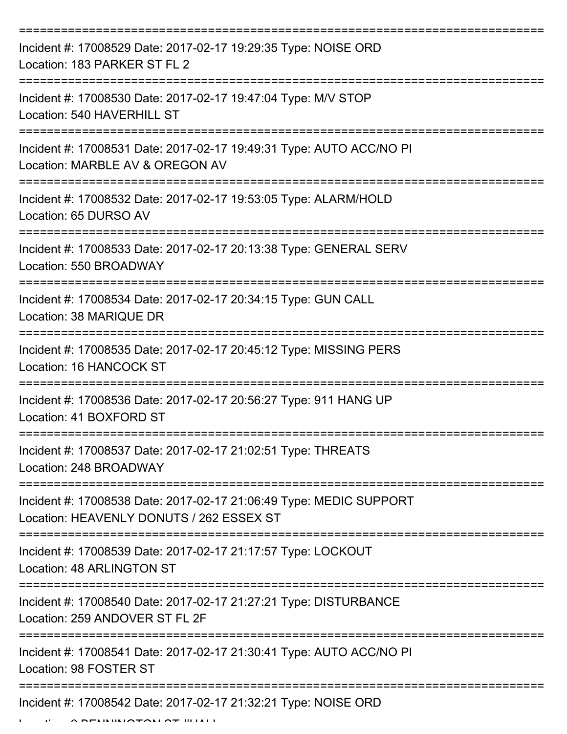| Incident #: 17008529 Date: 2017-02-17 19:29:35 Type: NOISE ORD<br>Location: 183 PARKER ST FL 2                 |
|----------------------------------------------------------------------------------------------------------------|
| Incident #: 17008530 Date: 2017-02-17 19:47:04 Type: M/V STOP<br>Location: 540 HAVERHILL ST                    |
| Incident #: 17008531 Date: 2017-02-17 19:49:31 Type: AUTO ACC/NO PI<br>Location: MARBLE AV & OREGON AV         |
| Incident #: 17008532 Date: 2017-02-17 19:53:05 Type: ALARM/HOLD<br>Location: 65 DURSO AV                       |
| Incident #: 17008533 Date: 2017-02-17 20:13:38 Type: GENERAL SERV<br>Location: 550 BROADWAY                    |
| Incident #: 17008534 Date: 2017-02-17 20:34:15 Type: GUN CALL<br>Location: 38 MARIQUE DR                       |
| Incident #: 17008535 Date: 2017-02-17 20:45:12 Type: MISSING PERS<br><b>Location: 16 HANCOCK ST</b>            |
| Incident #: 17008536 Date: 2017-02-17 20:56:27 Type: 911 HANG UP<br>Location: 41 BOXFORD ST                    |
| Incident #: 17008537 Date: 2017-02-17 21:02:51 Type: THREATS<br>Location: 248 BROADWAY                         |
| Incident #: 17008538 Date: 2017-02-17 21:06:49 Type: MEDIC SUPPORT<br>Location: HEAVENLY DONUTS / 262 ESSEX ST |
| Incident #: 17008539 Date: 2017-02-17 21:17:57 Type: LOCKOUT<br>Location: 48 ARLINGTON ST                      |
| Incident #: 17008540 Date: 2017-02-17 21:27:21 Type: DISTURBANCE<br>Location: 259 ANDOVER ST FL 2F             |
| Incident #: 17008541 Date: 2017-02-17 21:30:41 Type: AUTO ACC/NO PI<br>Location: 98 FOSTER ST                  |
| Incident #: 17008542 Date: 2017-02-17 21:32:21 Type: NOISE ORD                                                 |

Location: 2 BENNINGTON ST #HALL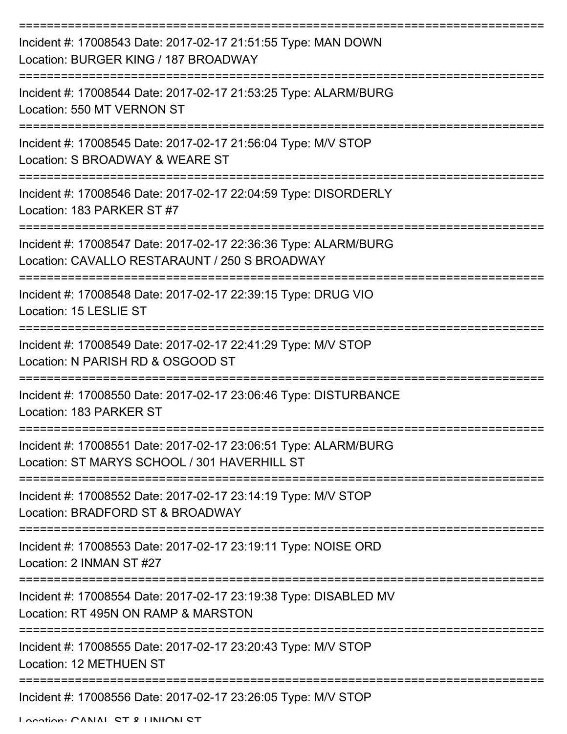| Incident #: 17008543 Date: 2017-02-17 21:51:55 Type: MAN DOWN<br>Location: BURGER KING / 187 BROADWAY            |
|------------------------------------------------------------------------------------------------------------------|
| Incident #: 17008544 Date: 2017-02-17 21:53:25 Type: ALARM/BURG<br>Location: 550 MT VERNON ST                    |
| Incident #: 17008545 Date: 2017-02-17 21:56:04 Type: M/V STOP<br>Location: S BROADWAY & WEARE ST                 |
| Incident #: 17008546 Date: 2017-02-17 22:04:59 Type: DISORDERLY<br>Location: 183 PARKER ST #7                    |
| Incident #: 17008547 Date: 2017-02-17 22:36:36 Type: ALARM/BURG<br>Location: CAVALLO RESTARAUNT / 250 S BROADWAY |
| Incident #: 17008548 Date: 2017-02-17 22:39:15 Type: DRUG VIO<br>Location: 15 LESLIE ST                          |
| Incident #: 17008549 Date: 2017-02-17 22:41:29 Type: M/V STOP<br>Location: N PARISH RD & OSGOOD ST               |
| Incident #: 17008550 Date: 2017-02-17 23:06:46 Type: DISTURBANCE<br>Location: 183 PARKER ST                      |
| Incident #: 17008551 Date: 2017-02-17 23:06:51 Type: ALARM/BURG<br>Location: ST MARYS SCHOOL / 301 HAVERHILL ST  |
| Incident #: 17008552 Date: 2017-02-17 23:14:19 Type: M/V STOP<br>Location: BRADFORD ST & BROADWAY                |
| Incident #: 17008553 Date: 2017-02-17 23:19:11 Type: NOISE ORD<br>Location: 2 INMAN ST #27                       |
| Incident #: 17008554 Date: 2017-02-17 23:19:38 Type: DISABLED MV<br>Location: RT 495N ON RAMP & MARSTON          |
| Incident #: 17008555 Date: 2017-02-17 23:20:43 Type: M/V STOP<br><b>Location: 12 METHUEN ST</b>                  |
| Incident #: 17008556 Date: 2017-02-17 23:26:05 Type: M/V STOP                                                    |

Location: CANAL ST & UNION ST